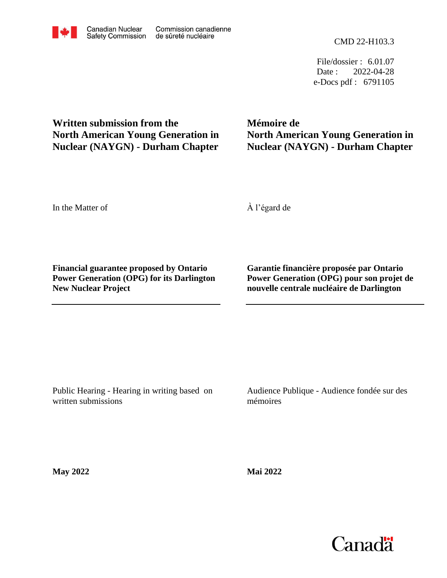File/dossier : 6.01.07 Date : 2022-04-28 e-Docs pdf : 6791105

# **Written submission from the North American Young Generation in Nuclear (NAYGN) - Durham Chapter**

# **Mémoire de North American Young Generation in Nuclear (NAYGN) - Durham Chapter**

In the Matter of

À l'égard de

**Financial guarantee proposed by Ontario Power Generation (OPG) for its Darlington New Nuclear Project**

**Garantie financière proposée par Ontario Power Generation (OPG) pour son projet de nouvelle centrale nucléaire de Darlington**

Public Hearing - Hearing in writing based on written submissions

Audience Publique - Audience fondée sur des mémoires

**May 2022**

**Mai 2022**

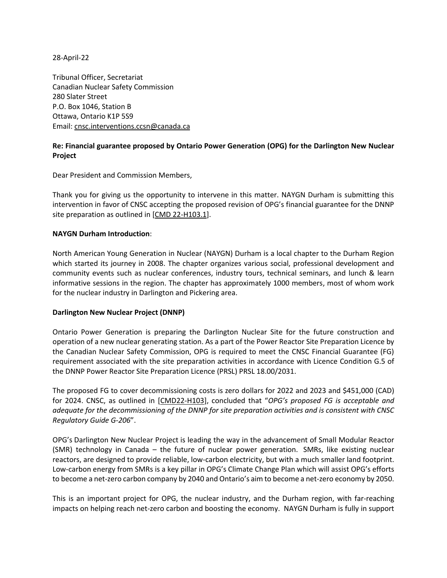28-April-22

Tribunal Officer, Secretariat Canadian Nuclear Safety Commission 280 Slater Street P.O. Box 1046, Station B Ottawa, Ontario K1P 5S9 Email: [cnsc.interventions.ccsn@canada.ca](mailto:cnsc.interventions.ccsn@canada.ca)

## **Re: Financial guarantee proposed by Ontario Power Generation (OPG) for the Darlington New Nuclear Project**

Dear President and Commission Members,

Thank you for giving us the opportunity to intervene in this matter. NAYGN Durham is submitting this intervention in favor of CNSC accepting the proposed revision of OPG's financial guarantee for the DNNP site preparation as outlined in [\[CMD 22-H103.1\]](https://www.nuclearsafety.gc.ca/eng/the-commission/hearings/cmd/pdf/CMD22/CMD22-H103-1.pdf).

#### **NAYGN Durham Introduction**:

North American Young Generation in Nuclear (NAYGN) Durham is a local chapter to the Durham Region which started its journey in 2008. The chapter organizes various social, professional development and community events such as nuclear conferences, industry tours, technical seminars, and lunch & learn informative sessions in the region. The chapter has approximately 1000 members, most of whom work for the nuclear industry in Darlington and Pickering area.

#### **Darlington New Nuclear Project (DNNP)**

Ontario Power Generation is preparing the Darlington Nuclear Site for the future construction and operation of a new nuclear generating station. As a part of the Power Reactor Site Preparation Licence by the Canadian Nuclear Safety Commission, OPG is required to meet the CNSC Financial Guarantee (FG) requirement associated with the site preparation activities in accordance with Licence Condition G.5 of the DNNP Power Reactor Site Preparation Licence (PRSL) PRSL 18.00/2031.

The proposed FG to cover decommissioning costs is zero dollars for 2022 and 2023 and \$451,000 (CAD) for 2024. CNSC, as outlined in [\[CMD22-H103](https://www.nuclearsafety.gc.ca/eng/the-commission/hearings/cmd/pdf/CMD22/CMD22-H103.pdf)], concluded that "*OPG's proposed FG is acceptable and adequate for the decommissioning of the DNNP for site preparation activities and is consistent with CNSC Regulatory Guide G-206*".

OPG's Darlington New Nuclear Project is leading the way in the advancement of Small Modular Reactor (SMR) technology in Canada – the future of nuclear power generation. SMRs, like existing nuclear reactors, are designed to provide reliable, low-carbon electricity, but with a much smaller land footprint. Low-carbon energy from SMRs is a key pillar in OPG's [Climate Change Plan](https://www.opg.com/climate-change/) which will assist OPG's efforts to become a net-zero carbon company by 2040 and Ontario's aim to become a net-zero economy by 2050.

This is an important project for OPG, the nuclear industry, and the Durham region, with far-reaching impacts on helping reach net-zero carbon and boosting the economy. NAYGN Durham is fully in support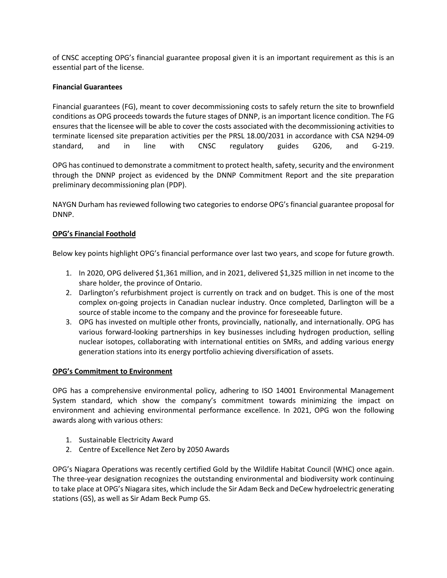of CNSC accepting OPG's financial guarantee proposal given it is an important requirement as this is an essential part of the license.

### **Financial Guarantees**

Financial guarantees (FG), meant to cover decommissioning costs to safely return the site to brownfield conditions as OPG proceeds towards the future stages of DNNP, is an important licence condition. The FG ensures that the licensee will be able to cover the costs associated with the decommissioning activities to terminate licensed site preparation activities per the PRSL 18.00/2031 in accordance with CSA N294-09 standard, and in line with CNSC regulatory guides G206, and G-219.

OPG has continued to demonstrate a commitment to protect health, safety, security and the environment through the DNNP project as evidenced by the DNNP Commitment Report and the site preparation preliminary decommissioning plan (PDP).

NAYGN Durham has reviewed following two categories to endorse OPG's financial guarantee proposal for DNNP.

## **OPG's Financial Foothold**

Below key points highlight OPG's financial performance over last two years, and scope for future growth.

- 1. In 2020, OPG delivered \$1,361 million, and in 2021, delivered \$1,325 million in net income to the share holder, the province of Ontario.
- 2. Darlington's refurbishment project is currently on track and on budget. This is one of the most complex on-going projects in Canadian nuclear industry. Once completed, Darlington will be a source of stable income to the company and the province for foreseeable future.
- 3. OPG has invested on multiple other fronts, provincially, nationally, and internationally. OPG has various forward-looking partnerships in key businesses including hydrogen production, selling nuclear isotopes, collaborating with international entities on SMRs, and adding various energy generation stations into its energy portfolio achieving diversification of assets.

### **OPG's Commitment to Environment**

OPG has a comprehensive environmental policy, adhering to ISO 14001 Environmental Management System standard, which show the company's commitment towards minimizing the impact on environment and achieving environmental performance excellence. In 2021, OPG won the following awards along with various others:

- 1. Sustainable Electricity Award
- 2. Centre of Excellence Net Zero by 2050 Awards

OPG's Niagara Operations was recently certified Gold by the Wildlife Habitat Council (WHC) once again. The three-year designation recognizes the outstanding environmental and biodiversity work continuing to take place at OPG's Niagara sites, which include the Sir Adam Beck and DeCew hydroelectric generating stations (GS), as well as Sir Adam Beck Pump GS.